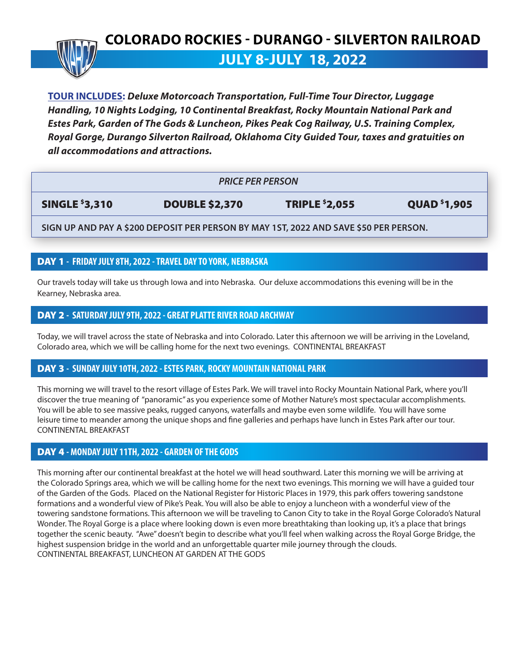## **COLORADO ROCKIES - DURANGO - SILVERTON RAILROAD**

**JULY 8-JULY 18, 2022**

**TOUR INCLUDES:** *Deluxe Motorcoach Transportation, Full-Time Tour Director, Luggage Handling, 10 Nights Lodging, 10 Continental Breakfast, Rocky Mountain National Park and Estes Park, Garden of The Gods & Luncheon, Pikes Peak Cog Railway, U.S. Training Complex, Royal Gorge, Durango Silverton Railroad, Oklahoma City Guided Tour, taxes and gratuities on all accommodations and attractions.*

| <b>PRICE PER PERSON</b> |                       |                       |                     |
|-------------------------|-----------------------|-----------------------|---------------------|
| <b>SINGLE \$3,310</b>   | <b>DOUBLE \$2,370</b> | <b>TRIPLE \$2,055</b> | <b>QUAD</b> \$1,905 |

**SIGN UP AND PAY A \$200 DEPOSIT PER PERSON BY MAY 1ST, 2022 AND SAVE \$50 PER PERSON.**

## DAY 1 **- FRIDAY JULY 8TH, 2022 - TRAVEL DAY TO YORK, NEBRASKA**

Our travels today will take us through Iowa and into Nebraska. Our deluxe accommodations this evening will be in the Kearney, Nebraska area.

## DAY 2 **- SATURDAY JULY 9TH, 2022 - GREAT PLATTE RIVER ROAD ARCHWAY**

Today, we will travel across the state of Nebraska and into Colorado. Later this afternoon we will be arriving in the Loveland, Colorado area, which we will be calling home for the next two evenings. CONTINENTAL BREAKFAST

## DAY 3 **- SUNDAY JULY 10TH, 2022 - ESTES PARK, ROCKY MOUNTAIN NATIONAL PARK**

This morning we will travel to the resort village of Estes Park. We will travel into Rocky Mountain National Park, where you'll discover the true meaning of "panoramic" as you experience some of Mother Nature's most spectacular accomplishments. You will be able to see massive peaks, rugged canyons, waterfalls and maybe even some wildlife. You will have some leisure time to meander among the unique shops and fine galleries and perhaps have lunch in Estes Park after our tour. CONTINENTAL BREAKFAST

## DAY 4 **- MONDAY JULY 11TH, 2022 - GARDEN OF THE GODS**

This morning after our continental breakfast at the hotel we will head southward. Later this morning we will be arriving at the Colorado Springs area, which we will be calling home for the next two evenings. This morning we will have a guided tour of the Garden of the Gods. Placed on the National Register for Historic Places in 1979, this park offers towering sandstone formations and a wonderful view of Pike's Peak. You will also be able to enjoy a luncheon with a wonderful view of the towering sandstone formations. This afternoon we will be traveling to Canon City to take in the Royal Gorge Colorado's Natural Wonder. The Royal Gorge is a place where looking down is even more breathtaking than looking up, it's a place that brings together the scenic beauty. "Awe" doesn't begin to describe what you'll feel when walking across the Royal Gorge Bridge, the highest suspension bridge in the world and an unforgettable quarter mile journey through the clouds. CONTINENTAL BREAKFAST, LUNCHEON AT GARDEN AT THE GODS